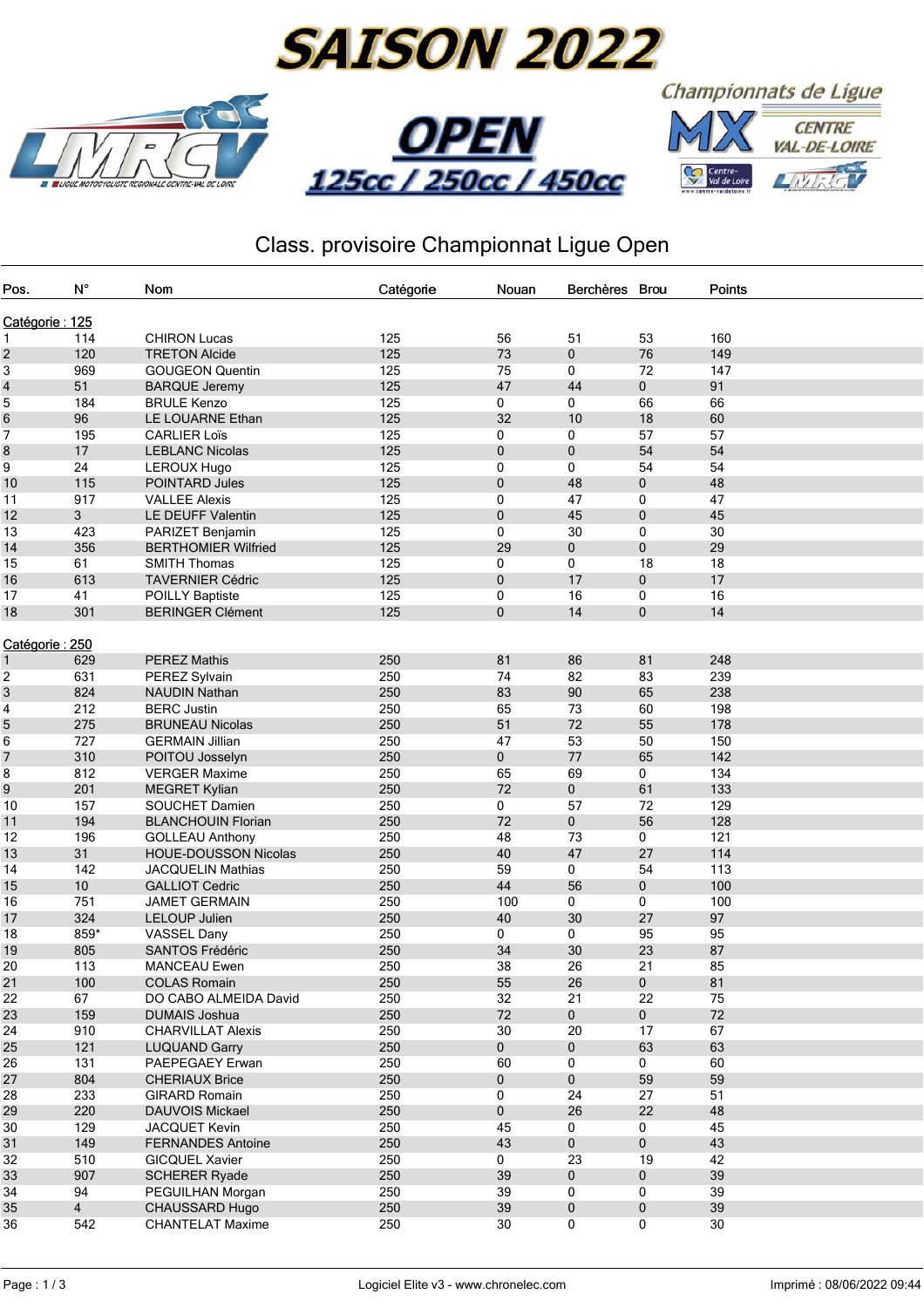









## Class. provisoire Championnat Ligue Open

| Pos.           | $N^{\circ}$    | Nom                         | Catégorie | Nouan       | <b>Berchères</b> | <b>Brou</b> | Points |  |  |
|----------------|----------------|-----------------------------|-----------|-------------|------------------|-------------|--------|--|--|
|                |                |                             |           |             |                  |             |        |  |  |
| Catégorie: 125 |                |                             |           |             |                  |             |        |  |  |
| 1              | 114            | <b>CHIRON Lucas</b>         | 125       | 56          | 51               | 53          | 160    |  |  |
| 2              | 120            | <b>TRETON Alcide</b>        | 125       | 73          | 0                | 76          | 149    |  |  |
| 3              | 969            | <b>GOUGEON Quentin</b>      | 125       | 75          | 0                | 72          | 147    |  |  |
| 4              | 51             | <b>BARQUE Jeremy</b>        | 125       | 47          | 44               | $\mathbf 0$ | 91     |  |  |
| 5              | 184            | <b>BRULE Kenzo</b>          | 125       | 0           | 0                | 66          | 66     |  |  |
| 6              | 96             | LE LOUARNE Ethan            | 125       | 32          | 10               | 18          | 60     |  |  |
| 7              | 195            | <b>CARLIER Loïs</b>         | 125       | 0           | 0                | 57          | 57     |  |  |
| 8              | 17             | <b>LEBLANC Nicolas</b>      | 125       | $\mathbf 0$ | $\mathbf 0$      | 54          | 54     |  |  |
| 9              | 24             | <b>LEROUX Hugo</b>          | 125       | 0           | 0                | 54          | 54     |  |  |
| 10             | 115            | POINTARD Jules              | 125       | $\pmb{0}$   | 48               | 0           | 48     |  |  |
| 11             | 917            | <b>VALLEE Alexis</b>        | 125       | 0           | 47               | 0           | 47     |  |  |
| 12             | 3              | LE DEUFF Valentin           | 125       | 0           | 45               | 0           | 45     |  |  |
| 13             | 423            | PARIZET Benjamin            | 125       | 0           | 30               | 0           | 30     |  |  |
| 14             | 356            | <b>BERTHOMIER Wilfried</b>  | 125       | 29          | $\mathbf 0$      | 0           | 29     |  |  |
| 15             | 61             | <b>SMITH Thomas</b>         | 125       | 0           | 0                | 18          | 18     |  |  |
| 16             | 613            | <b>TAVERNIER Cédric</b>     | 125       | $\mathbf 0$ | 17               | 0           | 17     |  |  |
| 17             | 41             | <b>POILLY Baptiste</b>      | 125       | 0           | 16               | 0           | 16     |  |  |
| 18             | 301            | <b>BERINGER Clément</b>     | 125       | $\mathbf 0$ | 14               | 0           | 14     |  |  |
|                |                |                             |           |             |                  |             |        |  |  |
| Catégorie: 250 |                |                             |           |             |                  |             |        |  |  |
| 1              | 629            | <b>PEREZ Mathis</b>         | 250       | 81          | 86               | 81          | 248    |  |  |
| 2              | 631            | PEREZ Sylvain               | 250       | 74          | 82               | 83          | 239    |  |  |
| 3              | 824            | <b>NAUDIN Nathan</b>        | 250       | 83          | 90               | 65          | 238    |  |  |
| 4              | 212            | <b>BERC Justin</b>          | 250       | 65          | 73               | 60          | 198    |  |  |
| 5              | 275            | <b>BRUNEAU Nicolas</b>      | 250       | 51          | 72               | 55          | 178    |  |  |
| 6              | 727            | <b>GERMAIN Jillian</b>      | 250       | 47          | 53               | 50          | 150    |  |  |
| 7              | 310            | POITOU Josselyn             | 250       | 0           | 77               | 65          | 142    |  |  |
| 8              | 812            | <b>VERGER Maxime</b>        | 250       | 65          | 69               | 0           | 134    |  |  |
| 9              | 201            | <b>MEGRET Kylian</b>        | 250       | 72          | 0                | 61          | 133    |  |  |
| 10             | 157            | SOUCHET Damien              | 250       | 0           | 57               | 72          | 129    |  |  |
| 11             | 194            | <b>BLANCHOUIN Florian</b>   | 250       | 72          | $\mathbf 0$      | 56          | 128    |  |  |
| 12             | 196            | <b>GOLLEAU Anthony</b>      | 250       | 48          | 73               | 0           | 121    |  |  |
| 13             | 31             | <b>HOUE-DOUSSON Nicolas</b> | 250       | 40          | 47               | 27          | 114    |  |  |
| 14             | 142            | <b>JACQUELIN Mathias</b>    | 250       | 59          | 0                | 54          | 113    |  |  |
| 15             | 10             | <b>GALLIOT Cedric</b>       | 250       | 44          | 56               | 0           | 100    |  |  |
| 16             | 751            | <b>JAMET GERMAIN</b>        | 250       | 100         | 0                | 0           | 100    |  |  |
| 17             | 324            | <b>LELOUP Julien</b>        | 250       | 40          | 30               | 27          | 97     |  |  |
| 18             | 859*           | <b>VASSEL Dany</b>          | 250       | 0           | 0                | 95          | 95     |  |  |
| 19             | 805            | <b>SANTOS Frédéric</b>      | 250       | 34          | 30               | 23          | 87     |  |  |
| 20             | 113            | <b>MANCEAU Ewen</b>         | 250       | 38          | 26               | 21          | 85     |  |  |
| 21             | 100            | <b>COLAS Romain</b>         | 250       | 55          | 26               | 0           | 81     |  |  |
| 22             | 67             | DO CABO ALMEIDA David       | 250       | 32          | 21               | 22          | 75     |  |  |
| 23             | 159            | <b>DUMAIS Joshua</b>        | 250       | 72          | $\pmb{0}$        | 0           | 72     |  |  |
| 24             | 910            | <b>CHARVILLAT Alexis</b>    | 250       | 30          | 20               | 17          | 67     |  |  |
| 25             | 121            | <b>LUQUAND Garry</b>        | 250       | $\mathbf 0$ | 0                | 63          | 63     |  |  |
| 26             | 131            | PAEPEGAEY Erwan             | 250       | 60          | 0                | 0           | 60     |  |  |
| 27             | 804            | <b>CHERIAUX Brice</b>       | 250       | $\mathbf 0$ | 0                | 59          | 59     |  |  |
| 28             | 233            | GIRARD Romain               | 250       | 0           | 24               | 27          | 51     |  |  |
|                | 220            | <b>DAUVOIS Mickael</b>      | 250       |             | 26               | 22          | 48     |  |  |
| 29             |                |                             |           | 0           |                  |             |        |  |  |
| 30             | 129            | JACQUET Kevin               | 250       | 45          | 0                | 0           | 45     |  |  |
| 31             | 149            | <b>FERNANDES Antoine</b>    | 250       | 43          | 0                | 0           | 43     |  |  |
| 32             | 510            | <b>GICQUEL Xavier</b>       | 250       | 0           | 23               | 19          | 42     |  |  |
| 33             | 907            | <b>SCHERER Ryade</b>        | 250       | 39          | 0                | 0           | 39     |  |  |
| 34             | 94             | PEGUILHAN Morgan            | 250       | 39          | 0                | 0           | 39     |  |  |
| 35             | $\overline{4}$ | CHAUSSARD Hugo              | 250       | 39          | 0                | 0           | 39     |  |  |
| 36             | 542            | <b>CHANTELAT Maxime</b>     | 250       | 30          | 0                | 0           | 30     |  |  |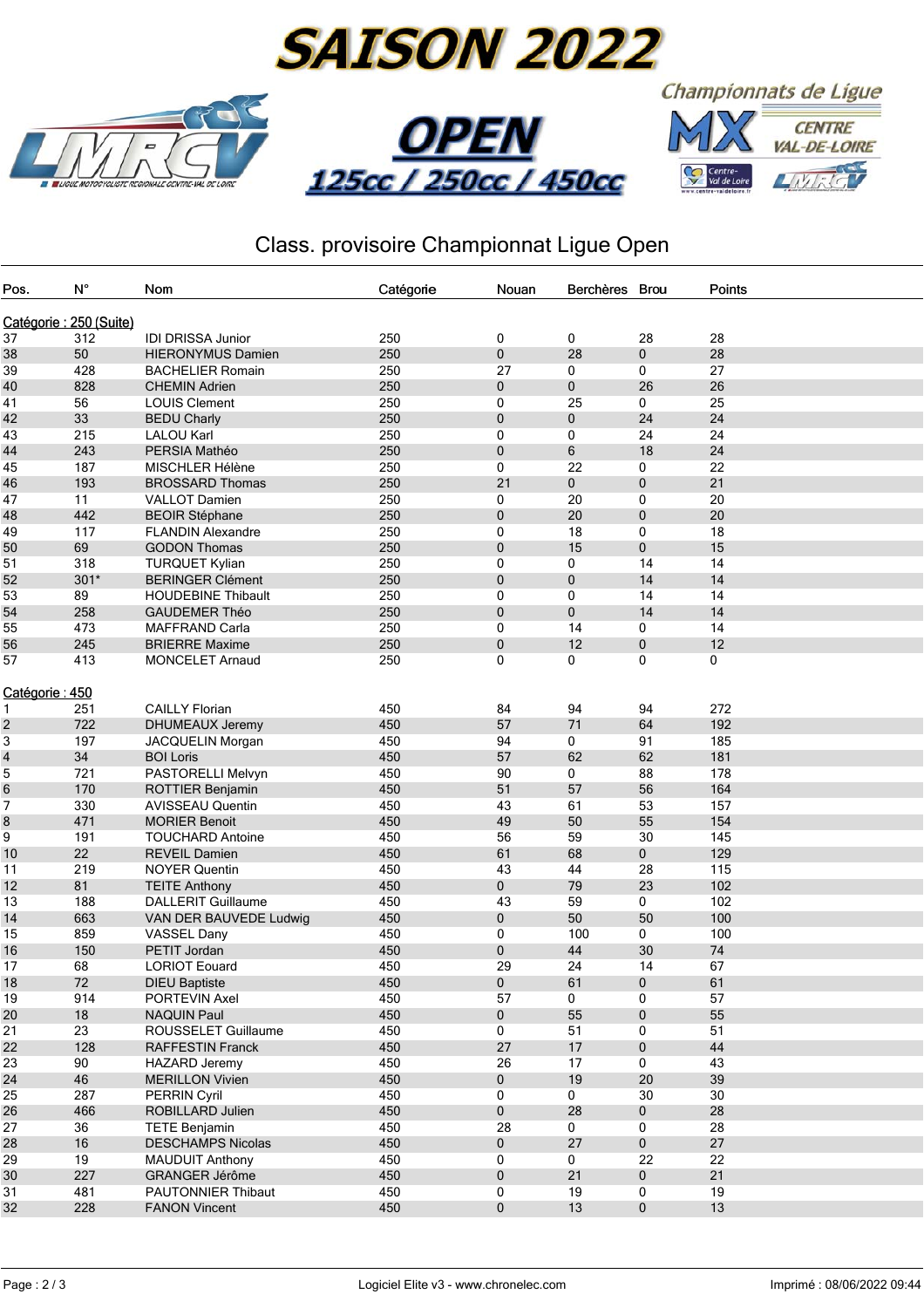

## Class. provisoire Championnat Ligue Open

| Pos.                   | $\mathsf{N}^\circ$ | Nom                       | Catégorie | Nouan       | Berchères Brou |             | Points |  |
|------------------------|--------------------|---------------------------|-----------|-------------|----------------|-------------|--------|--|
| Catégorie: 250 (Suite) |                    |                           |           |             |                |             |        |  |
|                        | 312                |                           |           |             |                |             |        |  |
| 37                     |                    | <b>IDI DRISSA Junior</b>  | 250       | $\mathbf 0$ | 0<br>28        | 28          | 28     |  |
| 38                     | 50                 | <b>HIERONYMUS Damien</b>  | 250       | 0           |                | 0           | 28     |  |
| 39                     | 428                | <b>BACHELIER Romain</b>   | 250       | 27          | 0              | 0           | 27     |  |
| 40                     | 828                | <b>CHEMIN Adrien</b>      | 250       | 0           | $\pmb{0}$      | 26          | 26     |  |
| 41                     | 56                 | <b>LOUIS Clement</b>      | 250       | 0           | 25             | 0           | 25     |  |
| 42                     | 33                 | <b>BEDU Charly</b>        | 250       | 0           | 0              | 24          | 24     |  |
| 43                     | 215                | <b>LALOU Karl</b>         | 250       | 0           | 0              | 24          | 24     |  |
| 44                     | 243                | PERSIA Mathéo             | 250       | 0           | $\,6\,$        | 18          | 24     |  |
| 45                     | 187                | MISCHLER Hélène           | 250       | 0           | 22             | 0           | 22     |  |
| 46                     | 193                | <b>BROSSARD Thomas</b>    | 250       | 21          | $\pmb{0}$      | 0           | 21     |  |
| 47                     | 11                 | <b>VALLOT Damien</b>      | 250       | 0           | 20             | 0           | 20     |  |
| 48                     | 442                | <b>BEOIR Stéphane</b>     | 250       | 0           | 20             | $\pmb{0}$   | 20     |  |
| 49                     | 117                | <b>FLANDIN Alexandre</b>  | 250       | 0           | 18             | 0           | 18     |  |
| 50                     | 69                 | <b>GODON Thomas</b>       | 250       | 0           | 15             | $\pmb{0}$   | 15     |  |
| 51                     | 318                | <b>TURQUET Kylian</b>     | 250       | 0           | 0              | 14          | 14     |  |
| 52                     | $301*$             | <b>BERINGER Clément</b>   | 250       | 0           | $\pmb{0}$      | 14          | 14     |  |
| 53                     | 89                 | <b>HOUDEBINE Thibault</b> | 250       | 0           | 0              | 14          | 14     |  |
| 54                     | 258                | <b>GAUDEMER Théo</b>      | 250       | 0           | $\pmb{0}$      | 14          | 14     |  |
| 55                     | 473                | <b>MAFFRAND Carla</b>     | 250       | 0           | 14             | 0           | 14     |  |
| 56                     | 245                | <b>BRIERRE Maxime</b>     | 250       | 0           | 12             | 0           | 12     |  |
| 57                     | 413                | <b>MONCELET Arnaud</b>    | 250       | 0           | 0              | 0           | 0      |  |
|                        |                    |                           |           |             |                |             |        |  |
| Catégorie : 450        |                    |                           |           |             |                |             |        |  |
| 1                      | 251                | <b>CAILLY Florian</b>     | 450       | 84          | 94             | 94          | 272    |  |
| 2                      | 722                | DHUMEAUX Jeremy           | 450       | 57          | 71             | 64          | 192    |  |
| 3                      | 197                | JACQUELIN Morgan          | 450       | 94          | 0              | 91          | 185    |  |
| 4                      | 34                 | <b>BOI Loris</b>          | 450       | 57          | 62             | 62          | 181    |  |
| 5                      | 721                | PASTORELLI Melvyn         | 450       | 90          | 0              | 88          | 178    |  |
| 6                      | 170                | ROTTIER Benjamin          | 450       | 51          | 57             | 56          | 164    |  |
| 7                      | 330                | <b>AVISSEAU Quentin</b>   | 450       | 43          | 61             | 53          | 157    |  |
| 8                      | 471                | <b>MORIER Benoit</b>      | 450       | 49          | 50             | 55          | 154    |  |
| 9                      | 191                | <b>TOUCHARD Antoine</b>   | 450       | 56          | 59             | 30          | 145    |  |
| 10                     | 22                 | <b>REVEIL Damien</b>      | 450       | 61          | 68             | 0           | 129    |  |
| 11                     | 219                | <b>NOYER Quentin</b>      | 450       | 43          | 44             | 28          | 115    |  |
| 12                     | 81                 | <b>TEITE Anthony</b>      | 450       | 0           | 79             | 23          | 102    |  |
| 13                     | 188                | <b>DALLERIT Guillaume</b> | 450       | 43          | 59             | $\mathbf 0$ | 102    |  |
| 14                     | 663                | VAN DER BAUVEDE Ludwig    | 450       | 0           | 50             | 50          | 100    |  |
| 15                     | 859                | VASSEL Dany               | 450       | 0           | 100            | 0           | 100    |  |
| 16                     | 150                | PETIT Jordan              | 450       | 0           | 44             | 30          | 74     |  |
| 17                     | 68                 | <b>LORIOT Eouard</b>      | 450       | 29          | 24             | 14          | 67     |  |
| 18                     | 72                 | <b>DIEU Baptiste</b>      | 450       | $\pmb{0}$   | 61             | $\pmb{0}$   | 61     |  |
| 19                     | 914                | PORTEVIN Axel             | 450       | 57          | 0              | $\Omega$    | 57     |  |
| 20                     | 18                 | <b>NAQUIN Paul</b>        | 450       | 0           | 55             | 0           | 55     |  |
| 21                     | 23                 | ROUSSELET Guillaume       | 450       | 0           | 51             | 0           | 51     |  |
| 22                     | 128                | <b>RAFFESTIN Franck</b>   | 450       | 27          | 17             | $\pmb{0}$   | 44     |  |
| 23                     | 90                 | <b>HAZARD Jeremy</b>      | 450       | 26          | 17             | 0           | 43     |  |
| 24                     | 46                 | <b>MERILLON Vivien</b>    | 450       | 0           | 19             | 20          | 39     |  |
| 25                     | 287                | <b>PERRIN Cyril</b>       | 450       | 0           | 0              | 30          | 30     |  |
| 26                     | 466                | ROBILLARD Julien          | 450       | $\pmb{0}$   | 28             | $\pmb{0}$   | 28     |  |
| 27                     | 36                 | <b>TETE Benjamin</b>      | 450       | 28          | 0              | 0           | 28     |  |
| 28                     | 16                 | <b>DESCHAMPS Nicolas</b>  | 450       | 0           | 27             | $\mathbf 0$ | 27     |  |
| 29                     | 19                 | <b>MAUDUIT Anthony</b>    | 450       | 0           | 0              | 22          | 22     |  |
| 30                     | 227                | GRANGER Jérôme            | 450       | 0           | 21             | 0           | 21     |  |
| 31                     | 481                | PAUTONNIER Thibaut        | 450       | 0           | 19             | 0           | 19     |  |
| 32                     | 228                | <b>FANON Vincent</b>      | 450       | 0           | 13             | $\mathbf 0$ | 13     |  |
|                        |                    |                           |           |             |                |             |        |  |